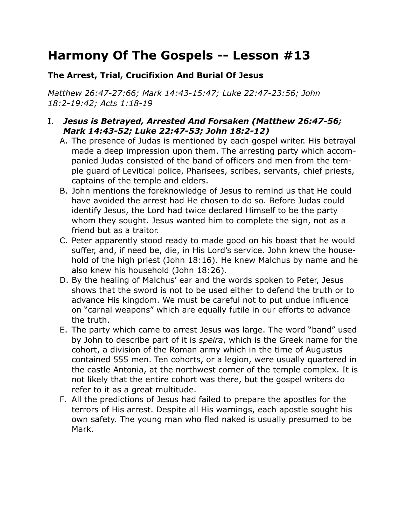# **Harmony Of The Gospels -- Lesson #13**

## **The Arrest, Trial, Crucifixion And Burial Of Jesus**

*Matthew 26:47-27:66; Mark 14:43-15:47; Luke 22:47-23:56; John 18:2-19:42; Acts 1:18-19*

### I. *Jesus is Betrayed, Arrested And Forsaken (Matthew 26:47-56; Mark 14:43-52; Luke 22:47-53; John 18:2-12)*

- A. The presence of Judas is mentioned by each gospel writer. His betrayal made a deep impression upon them. The arresting party which accompanied Judas consisted of the band of officers and men from the temple guard of Levitical police, Pharisees, scribes, servants, chief priests, captains of the temple and elders.
- B. John mentions the foreknowledge of Jesus to remind us that He could have avoided the arrest had He chosen to do so. Before Judas could identify Jesus, the Lord had twice declared Himself to be the party whom they sought. Jesus wanted him to complete the sign, not as a friend but as a traitor.
- C. Peter apparently stood ready to made good on his boast that he would suffer, and, if need be, die, in His Lord's service. John knew the household of the high priest (John 18:16). He knew Malchus by name and he also knew his household (John 18:26).
- D. By the healing of Malchus' ear and the words spoken to Peter, Jesus shows that the sword is not to be used either to defend the truth or to advance His kingdom. We must be careful not to put undue influence on "carnal weapons" which are equally futile in our efforts to advance the truth.
- E. The party which came to arrest Jesus was large. The word "band" used by John to describe part of it is *speira*, which is the Greek name for the cohort, a division of the Roman army which in the time of Augustus contained 555 men. Ten cohorts, or a legion, were usually quartered in the castle Antonia, at the northwest corner of the temple complex. It is not likely that the entire cohort was there, but the gospel writers do refer to it as a great multitude.
- F. All the predictions of Jesus had failed to prepare the apostles for the terrors of His arrest. Despite all His warnings, each apostle sought his own safety. The young man who fled naked is usually presumed to be Mark.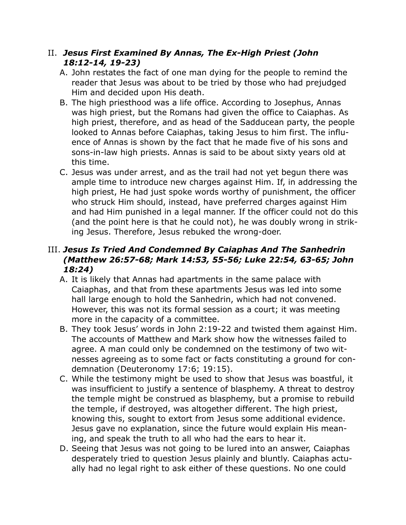## II. *Jesus First Examined By Annas, The Ex-High Priest (John 18:12-14, 19-23)*

- A. John restates the fact of one man dying for the people to remind the reader that Jesus was about to be tried by those who had prejudged Him and decided upon His death.
- B. The high priesthood was a life office. According to Josephus, Annas was high priest, but the Romans had given the office to Caiaphas. As high priest, therefore, and as head of the Sadducean party, the people looked to Annas before Caiaphas, taking Jesus to him first. The influence of Annas is shown by the fact that he made five of his sons and sons-in-law high priests. Annas is said to be about sixty years old at this time.
- C. Jesus was under arrest, and as the trail had not yet begun there was ample time to introduce new charges against Him. If, in addressing the high priest, He had just spoke words worthy of punishment, the officer who struck Him should, instead, have preferred charges against Him and had Him punished in a legal manner. If the officer could not do this (and the point here is that he could not), he was doubly wrong in striking Jesus. Therefore, Jesus rebuked the wrong-doer.

# III. *Jesus Is Tried And Condemned By Caiaphas And The Sanhedrin (Matthew 26:57-68; Mark 14:53, 55-56; Luke 22:54, 63-65; John 18:24)*

- A. It is likely that Annas had apartments in the same palace with Caiaphas, and that from these apartments Jesus was led into some hall large enough to hold the Sanhedrin, which had not convened. However, this was not its formal session as a court; it was meeting more in the capacity of a committee.
- B. They took Jesus' words in John 2:19-22 and twisted them against Him. The accounts of Matthew and Mark show how the witnesses failed to agree. A man could only be condemned on the testimony of two witnesses agreeing as to some fact or facts constituting a ground for condemnation (Deuteronomy 17:6; 19:15).
- C. While the testimony might be used to show that Jesus was boastful, it was insufficient to justify a sentence of blasphemy. A threat to destroy the temple might be construed as blasphemy, but a promise to rebuild the temple, if destroyed, was altogether different. The high priest, knowing this, sought to extort from Jesus some additional evidence. Jesus gave no explanation, since the future would explain His meaning, and speak the truth to all who had the ears to hear it.
- D. Seeing that Jesus was not going to be lured into an answer, Caiaphas desperately tried to question Jesus plainly and bluntly. Caiaphas actually had no legal right to ask either of these questions. No one could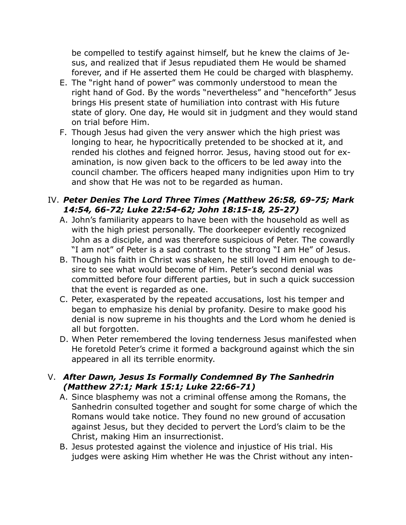be compelled to testify against himself, but he knew the claims of Jesus, and realized that if Jesus repudiated them He would be shamed forever, and if He asserted them He could be charged with blasphemy.

- E. The "right hand of power" was commonly understood to mean the right hand of God. By the words "nevertheless" and "henceforth" Jesus brings His present state of humiliation into contrast with His future state of glory. One day, He would sit in judgment and they would stand on trial before Him.
- F. Though Jesus had given the very answer which the high priest was longing to hear, he hypocritically pretended to be shocked at it, and rended his clothes and feigned horror. Jesus, having stood out for examination, is now given back to the officers to be led away into the council chamber. The officers heaped many indignities upon Him to try and show that He was not to be regarded as human.

#### IV. *Peter Denies The Lord Three Times (Matthew 26:58, 69-75; Mark 14:54, 66-72; Luke 22:54-62; John 18:15-18, 25-27)*

- A. John's familiarity appears to have been with the household as well as with the high priest personally. The doorkeeper evidently recognized John as a disciple, and was therefore suspicious of Peter. The cowardly "I am not" of Peter is a sad contrast to the strong "I am He" of Jesus.
- B. Though his faith in Christ was shaken, he still loved Him enough to desire to see what would become of Him. Peter's second denial was committed before four different parties, but in such a quick succession that the event is regarded as one.
- C. Peter, exasperated by the repeated accusations, lost his temper and began to emphasize his denial by profanity. Desire to make good his denial is now supreme in his thoughts and the Lord whom he denied is all but forgotten.
- D. When Peter remembered the loving tenderness Jesus manifested when He foretold Peter's crime it formed a background against which the sin appeared in all its terrible enormity.

### V. *After Dawn, Jesus Is Formally Condemned By The Sanhedrin (Matthew 27:1; Mark 15:1; Luke 22:66-71)*

- A. Since blasphemy was not a criminal offense among the Romans, the Sanhedrin consulted together and sought for some charge of which the Romans would take notice. They found no new ground of accusation against Jesus, but they decided to pervert the Lord's claim to be the Christ, making Him an insurrectionist.
- B. Jesus protested against the violence and injustice of His trial. His judges were asking Him whether He was the Christ without any inten-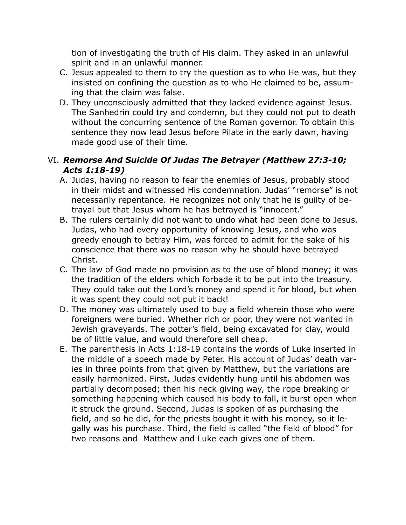tion of investigating the truth of His claim. They asked in an unlawful spirit and in an unlawful manner.

- C. Jesus appealed to them to try the question as to who He was, but they insisted on confining the question as to who He claimed to be, assuming that the claim was false.
- D. They unconsciously admitted that they lacked evidence against Jesus. The Sanhedrin could try and condemn, but they could not put to death without the concurring sentence of the Roman governor. To obtain this sentence they now lead Jesus before Pilate in the early dawn, having made good use of their time.

# VI. *Remorse And Suicide Of Judas The Betrayer (Matthew 27:3-10; Acts 1:18-19)*

- A. Judas, having no reason to fear the enemies of Jesus, probably stood in their midst and witnessed His condemnation. Judas' "remorse" is not necessarily repentance. He recognizes not only that he is guilty of betrayal but that Jesus whom he has betrayed is "innocent."
- B. The rulers certainly did not want to undo what had been done to Jesus. Judas, who had every opportunity of knowing Jesus, and who was greedy enough to betray Him, was forced to admit for the sake of his conscience that there was no reason why he should have betrayed Christ.
- C. The law of God made no provision as to the use of blood money; it was the tradition of the elders which forbade it to be put into the treasury. They could take out the Lord's money and spend it for blood, but when it was spent they could not put it back!
- D. The money was ultimately used to buy a field wherein those who were foreigners were buried. Whether rich or poor, they were not wanted in Jewish graveyards. The potter's field, being excavated for clay, would be of little value, and would therefore sell cheap.
- E. The parenthesis in Acts 1:18-19 contains the words of Luke inserted in the middle of a speech made by Peter. His account of Judas' death varies in three points from that given by Matthew, but the variations are easily harmonized. First, Judas evidently hung until his abdomen was partially decomposed; then his neck giving way, the rope breaking or something happening which caused his body to fall, it burst open when it struck the ground. Second, Judas is spoken of as purchasing the field, and so he did, for the priests bought it with his money, so it legally was his purchase. Third, the field is called "the field of blood" for two reasons and Matthew and Luke each gives one of them.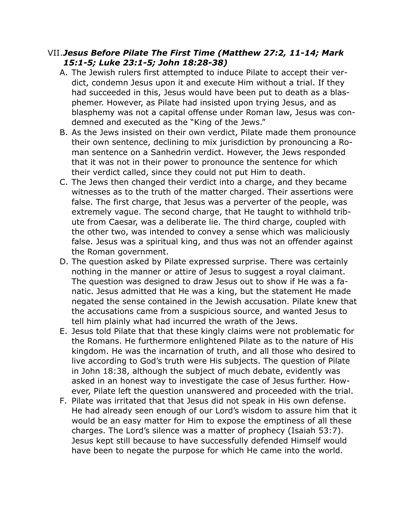#### VII.*Jesus Before Pilate The First Time (Matthew 27:2, 11-14; Mark 15:1-5; Luke 23:1-5; John 18:28-38)*

- A. The Jewish rulers first attempted to induce Pilate to accept their verdict, condemn Jesus upon it and execute Him without a trial. If they had succeeded in this, Jesus would have been put to death as a blasphemer. However, as Pilate had insisted upon trying Jesus, and as blasphemy was not a capital offense under Roman law, Jesus was condemned and executed as the "King of the Jews."
- B. As the Jews insisted on their own verdict, Pilate made them pronounce their own sentence, declining to mix jurisdiction by pronouncing a Roman sentence on a Sanhedrin verdict. However, the Jews responded that it was not in their power to pronounce the sentence for which their verdict called, since they could not put Him to death.
- C. The Jews then changed their verdict into a charge, and they became witnesses as to the truth of the matter charged. Their assertions were false. The first charge, that Jesus was a perverter of the people, was extremely vague. The second charge, that He taught to withhold tribute from Caesar, was a deliberate lie. The third charge, coupled with the other two, was intended to convey a sense which was maliciously false. Jesus was a spiritual king, and thus was not an offender against the Roman government.
- D. The question asked by Pilate expressed surprise. There was certainly nothing in the manner or attire of Jesus to suggest a royal claimant. The question was designed to draw Jesus out to show if He was a fanatic. Jesus admitted that He was a king, but the statement He made negated the sense contained in the Jewish accusation. Pilate knew that the accusations came from a suspicious source, and wanted Jesus to tell him plainly what had incurred the wrath of the Jews.
- E. Jesus told Pilate that that these kingly claims were not problematic for the Romans. He furthermore enlightened Pilate as to the nature of His kingdom. He was the incarnation of truth, and all those who desired to live according to God's truth were His subjects. The question of Pilate in John 18:38, although the subject of much debate, evidently was asked in an honest way to investigate the case of Jesus further. However, Pilate left the question unanswered and proceeded with the trial.
- F. Pilate was irritated that that Jesus did not speak in His own defense. He had already seen enough of our Lord's wisdom to assure him that it would be an easy matter for Him to expose the emptiness of all these charges. The Lord's silence was a matter of prophecy (Isaiah 53:7). Jesus kept still because to have successfully defended Himself would have been to negate the purpose for which He came into the world.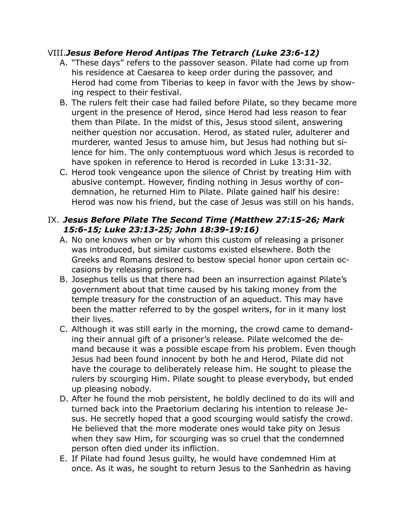### VIII.*Jesus Before Herod Antipas The Tetrarch (Luke 23:6-12)*

- A. "These days" refers to the passover season. Pilate had come up from his residence at Caesarea to keep order during the passover, and Herod had come from Tiberias to keep in favor with the Jews by showing respect to their festival.
- B. The rulers felt their case had failed before Pilate, so they became more urgent in the presence of Herod, since Herod had less reason to fear them than Pilate. In the midst of this, Jesus stood silent, answering neither question nor accusation. Herod, as stated ruler, adulterer and murderer, wanted Jesus to amuse him, but Jesus had nothing but silence for him. The only contemptuous word which Jesus is recorded to have spoken in reference to Herod is recorded in Luke 13:31-32.
- C. Herod took vengeance upon the silence of Christ by treating Him with abusive contempt. However, finding nothing in Jesus worthy of condemnation, he returned Him to Pilate. Pilate gained half his desire: Herod was now his friend, but the case of Jesus was still on his hands.

# IX. *Jesus Before Pilate The Second Time (Matthew 27:15-26; Mark 15:6-15; Luke 23:13-25; John 18:39-19:16)*

- A. No one knows when or by whom this custom of releasing a prisoner was introduced, but similar customs existed elsewhere. Both the Greeks and Romans desired to bestow special honor upon certain occasions by releasing prisoners.
- B. Josephus tells us that there had been an insurrection against Pilate's government about that time caused by his taking money from the temple treasury for the construction of an aqueduct. This may have been the matter referred to by the gospel writers, for in it many lost their lives.
- C. Although it was still early in the morning, the crowd came to demanding their annual gift of a prisoner's release. Pilate welcomed the demand because it was a possible escape from his problem. Even though Jesus had been found innocent by both he and Herod, Pilate did not have the courage to deliberately release him. He sought to please the rulers by scourging Him. Pilate sought to please everybody, but ended up pleasing nobody.
- D. After he found the mob persistent, he boldly declined to do its will and turned back into the Praetorium declaring his intention to release Jesus. He secretly hoped that a good scourging would satisfy the crowd. He believed that the more moderate ones would take pity on Jesus when they saw Him, for scourging was so cruel that the condemned person often died under its infliction.
- E. If Pilate had found Jesus guilty, he would have condemned Him at once. As it was, he sought to return Jesus to the Sanhedrin as having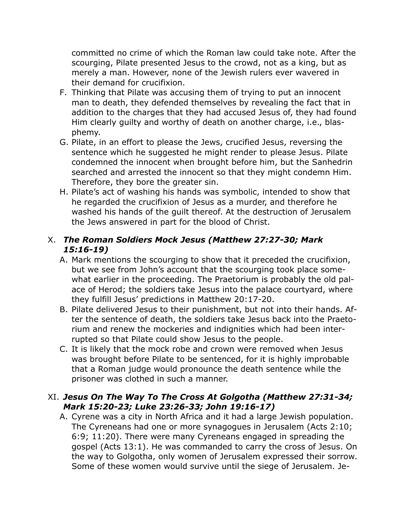committed no crime of which the Roman law could take note. After the scourging, Pilate presented Jesus to the crowd, not as a king, but as merely a man. However, none of the Jewish rulers ever wavered in their demand for crucifixion.

- F. Thinking that Pilate was accusing them of trying to put an innocent man to death, they defended themselves by revealing the fact that in addition to the charges that they had accused Jesus of, they had found Him clearly guilty and worthy of death on another charge, i.e., blasphemy.
- G. Pilate, in an effort to please the Jews, crucified Jesus, reversing the sentence which he suggested he might render to please Jesus. Pilate condemned the innocent when brought before him, but the Sanhedrin searched and arrested the innocent so that they might condemn Him. Therefore, they bore the greater sin.
- H. Pilate's act of washing his hands was symbolic, intended to show that he regarded the crucifixion of Jesus as a murder, and therefore he washed his hands of the guilt thereof. At the destruction of Jerusalem the Jews answered in part for the blood of Christ.

# X. *The Roman Soldiers Mock Jesus (Matthew 27:27-30; Mark 15:16-19)*

- A. Mark mentions the scourging to show that it preceded the crucifixion, but we see from John's account that the scourging took place somewhat earlier in the proceeding. The Praetorium is probably the old palace of Herod; the soldiers take Jesus into the palace courtyard, where they fulfill Jesus' predictions in Matthew 20:17-20.
- B. Pilate delivered Jesus to their punishment, but not into their hands. After the sentence of death, the soldiers take Jesus back into the Praetorium and renew the mockeries and indignities which had been interrupted so that Pilate could show Jesus to the people.
- C. It is likely that the mock robe and crown were removed when Jesus was brought before Pilate to be sentenced, for it is highly improbable that a Roman judge would pronounce the death sentence while the prisoner was clothed in such a manner.

# XI. *Jesus On The Way To The Cross At Golgotha (Matthew 27:31-34; Mark 15:20-23; Luke 23:26-33; John 19:16-17)*

A. Cyrene was a city in North Africa and it had a large Jewish population. The Cyreneans had one or more synagogues in Jerusalem (Acts 2:10; 6:9; 11:20). There were many Cyreneans engaged in spreading the gospel (Acts 13:1). He was commanded to carry the cross of Jesus. On the way to Golgotha, only women of Jerusalem expressed their sorrow. Some of these women would survive until the siege of Jerusalem. Je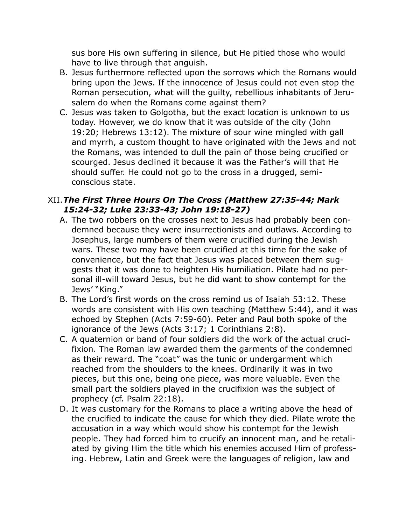sus bore His own suffering in silence, but He pitied those who would have to live through that anguish.

- B. Jesus furthermore reflected upon the sorrows which the Romans would bring upon the Jews. If the innocence of Jesus could not even stop the Roman persecution, what will the guilty, rebellious inhabitants of Jerusalem do when the Romans come against them?
- C. Jesus was taken to Golgotha, but the exact location is unknown to us today. However, we do know that it was outside of the city (John 19:20; Hebrews 13:12). The mixture of sour wine mingled with gall and myrrh, a custom thought to have originated with the Jews and not the Romans, was intended to dull the pain of those being crucified or scourged. Jesus declined it because it was the Father's will that He should suffer. He could not go to the cross in a drugged, semiconscious state.

#### XII.*The First Three Hours On The Cross (Matthew 27:35-44; Mark 15:24-32; Luke 23:33-43; John 19:18-27)*

- A. The two robbers on the crosses next to Jesus had probably been condemned because they were insurrectionists and outlaws. According to Josephus, large numbers of them were crucified during the Jewish wars. These two may have been crucified at this time for the sake of convenience, but the fact that Jesus was placed between them suggests that it was done to heighten His humiliation. Pilate had no personal ill-will toward Jesus, but he did want to show contempt for the Jews' "King."
- B. The Lord's first words on the cross remind us of Isaiah 53:12. These words are consistent with His own teaching (Matthew 5:44), and it was echoed by Stephen (Acts 7:59-60). Peter and Paul both spoke of the ignorance of the Jews (Acts 3:17; 1 Corinthians 2:8).
- C. A quaternion or band of four soldiers did the work of the actual crucifixion. The Roman law awarded them the garments of the condemned as their reward. The "coat" was the tunic or undergarment which reached from the shoulders to the knees. Ordinarily it was in two pieces, but this one, being one piece, was more valuable. Even the small part the soldiers played in the crucifixion was the subject of prophecy (cf. Psalm 22:18).
- D. It was customary for the Romans to place a writing above the head of the crucified to indicate the cause for which they died. Pilate wrote the accusation in a way which would show his contempt for the Jewish people. They had forced him to crucify an innocent man, and he retaliated by giving Him the title which his enemies accused Him of professing. Hebrew, Latin and Greek were the languages of religion, law and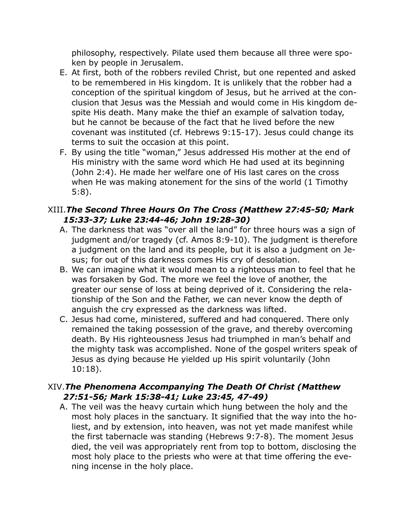philosophy, respectively. Pilate used them because all three were spoken by people in Jerusalem.

- E. At first, both of the robbers reviled Christ, but one repented and asked to be remembered in His kingdom. It is unlikely that the robber had a conception of the spiritual kingdom of Jesus, but he arrived at the conclusion that Jesus was the Messiah and would come in His kingdom despite His death. Many make the thief an example of salvation today, but he cannot be because of the fact that he lived before the new covenant was instituted (cf. Hebrews 9:15-17). Jesus could change its terms to suit the occasion at this point.
- F. By using the title "woman," Jesus addressed His mother at the end of His ministry with the same word which He had used at its beginning (John 2:4). He made her welfare one of His last cares on the cross when He was making atonement for the sins of the world (1 Timothy 5:8).

# XIII.*The Second Three Hours On The Cross (Matthew 27:45-50; Mark 15:33-37; Luke 23:44-46; John 19:28-30)*

- A. The darkness that was "over all the land" for three hours was a sign of judgment and/or tragedy (cf. Amos 8:9-10). The judgment is therefore a judgment on the land and its people, but it is also a judgment on Jesus; for out of this darkness comes His cry of desolation.
- B. We can imagine what it would mean to a righteous man to feel that he was forsaken by God. The more we feel the love of another, the greater our sense of loss at being deprived of it. Considering the relationship of the Son and the Father, we can never know the depth of anguish the cry expressed as the darkness was lifted.
- C. Jesus had come, ministered, suffered and had conquered. There only remained the taking possession of the grave, and thereby overcoming death. By His righteousness Jesus had triumphed in man's behalf and the mighty task was accomplished. None of the gospel writers speak of Jesus as dying because He yielded up His spirit voluntarily (John 10:18).

### XIV.*The Phenomena Accompanying The Death Of Christ (Matthew 27:51-56; Mark 15:38-41; Luke 23:45, 47-49)*

A. The veil was the heavy curtain which hung between the holy and the most holy places in the sanctuary. It signified that the way into the holiest, and by extension, into heaven, was not yet made manifest while the first tabernacle was standing (Hebrews 9:7-8). The moment Jesus died, the veil was appropriately rent from top to bottom, disclosing the most holy place to the priests who were at that time offering the evening incense in the holy place.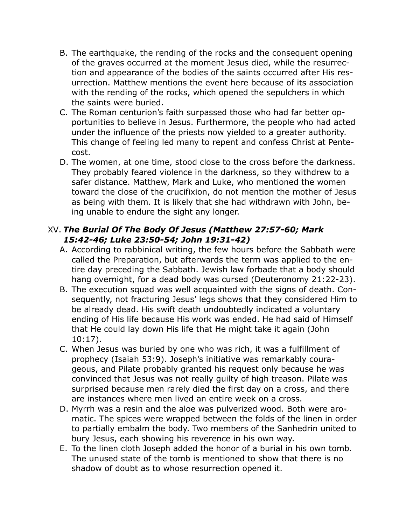- B. The earthquake, the rending of the rocks and the consequent opening of the graves occurred at the moment Jesus died, while the resurrection and appearance of the bodies of the saints occurred after His resurrection. Matthew mentions the event here because of its association with the rending of the rocks, which opened the sepulchers in which the saints were buried.
- C. The Roman centurion's faith surpassed those who had far better opportunities to believe in Jesus. Furthermore, the people who had acted under the influence of the priests now yielded to a greater authority. This change of feeling led many to repent and confess Christ at Pentecost.
- D. The women, at one time, stood close to the cross before the darkness. They probably feared violence in the darkness, so they withdrew to a safer distance. Matthew, Mark and Luke, who mentioned the women toward the close of the crucifixion, do not mention the mother of Jesus as being with them. It is likely that she had withdrawn with John, being unable to endure the sight any longer.

### XV. *The Burial Of The Body Of Jesus (Matthew 27:57-60; Mark 15:42-46; Luke 23:50-54; John 19:31-42)*

- A. According to rabbinical writing, the few hours before the Sabbath were called the Preparation, but afterwards the term was applied to the entire day preceding the Sabbath. Jewish law forbade that a body should hang overnight, for a dead body was cursed (Deuteronomy 21:22-23).
- B. The execution squad was well acquainted with the signs of death. Consequently, not fracturing Jesus' legs shows that they considered Him to be already dead. His swift death undoubtedly indicated a voluntary ending of His life because His work was ended. He had said of Himself that He could lay down His life that He might take it again (John 10:17).
- C. When Jesus was buried by one who was rich, it was a fulfillment of prophecy (Isaiah 53:9). Joseph's initiative was remarkably courageous, and Pilate probably granted his request only because he was convinced that Jesus was not really guilty of high treason. Pilate was surprised because men rarely died the first day on a cross, and there are instances where men lived an entire week on a cross.
- D. Myrrh was a resin and the aloe was pulverized wood. Both were aromatic. The spices were wrapped between the folds of the linen in order to partially embalm the body. Two members of the Sanhedrin united to bury Jesus, each showing his reverence in his own way.
- E. To the linen cloth Joseph added the honor of a burial in his own tomb. The unused state of the tomb is mentioned to show that there is no shadow of doubt as to whose resurrection opened it.